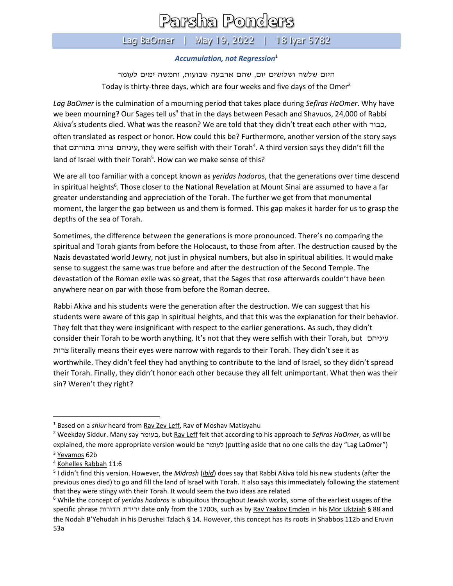## Parsha Ponders

## Lag BaOmer | May 19, 2022 | 18 Iyar 5782

## *Accumulation, not Regression*<sup>1</sup>

היום שלשה ושלושים יום, שהם ארבעה שבועות, וחמשה ימים לעומר Today is thirty-three days, which are four weeks and five days of the Omer<sup>2</sup>

*Lag BaOmer* is the culmination of a mourning period that takes place during *Sefiras HaOmer*. Why have we been mourning? Our Sages tell us<sup>3</sup> that in the days between Pesach and Shavuos, 24,000 of Rabbi Akiva's students died. What was the reason? We are told that they didn't treat each other with  $\tau$ כבוד, often translated as respect or honor. How could this be? Furthermore, another version of the story says that בתורתם צרות עיניהם, they were selfish with their Torah<sup>4</sup> . A third version says they didn't fill the land of Israel with their Torah<sup>5</sup>. How can we make sense of this?

We are all too familiar with a concept known as *yeridas hadoros*, that the generations over time descend in spiritual heights<sup>6</sup>. Those closer to the National Revelation at Mount Sinai are assumed to have a far greater understanding and appreciation of the Torah. The further we get from that monumental moment, the larger the gap between us and them is formed. This gap makes it harder for us to grasp the depths of the sea of Torah.

Sometimes, the difference between the generations is more pronounced. There's no comparing the spiritual and Torah giants from before the Holocaust, to those from after. The destruction caused by the Nazis devastated world Jewry, not just in physical numbers, but also in spiritual abilities. It would make sense to suggest the same was true before and after the destruction of the Second Temple. The devastation of the Roman exile was so great, that the Sages that rose afterwards couldn't have been anywhere near on par with those from before the Roman decree.

Rabbi Akiva and his students were the generation after the destruction. We can suggest that his students were aware of this gap in spiritual heights, and that this was the explanation for their behavior. They felt that they were insignificant with respect to the earlier generations. As such, they didn't consider their Torah to be worth anything. It's not that they were selfish with their Torah, but עיניהם צרות literally means their eyes were narrow with regards to their Torah. They didn't see it as worthwhile. They didn't feel they had anything to contribute to the land of Israel, so they didn't spread their Torah. Finally, they didn't honor each other because they all felt unimportant. What then was their sin? Weren't they right?

<sup>1</sup> Based on a *shiur* heard from Rav Zev Leff, Rav of Moshav Matisyahu

<sup>2</sup> Weekday Siddur. Many say בעומר, but Rav Leff felt that according to his approach to *Sefiras HaOmer*, as will be explained, the more appropriate version would be לעומר) putting aside that no one calls the day "Lag LaOmer")

<sup>3</sup> Yevamos 62b

<sup>4</sup> Kohelles Rabbah 11:6

<sup>5</sup> I didn't find this version. However, the *Midrash* (*ibid*) does say that Rabbi Akiva told his new students (after the previous ones died) to go and fill the land of Israel with Torah. It also says this immediately following the statement that they were stingy with their Torah. It would seem the two ideas are related

<sup>6</sup> While the concept of *yeridas hadoros* is ubiquitous throughout Jewish works, some of the earliest usages of the specific phrase הדורות ירידת date only from the 1700s, such as by Rav Yaakov Emden in his Mor Uktziah § 88 and the Nodah B'Yehudah in his Derushei Tzlach § 14. However, this concept has its roots in Shabbos 112b and Eruvin 53a